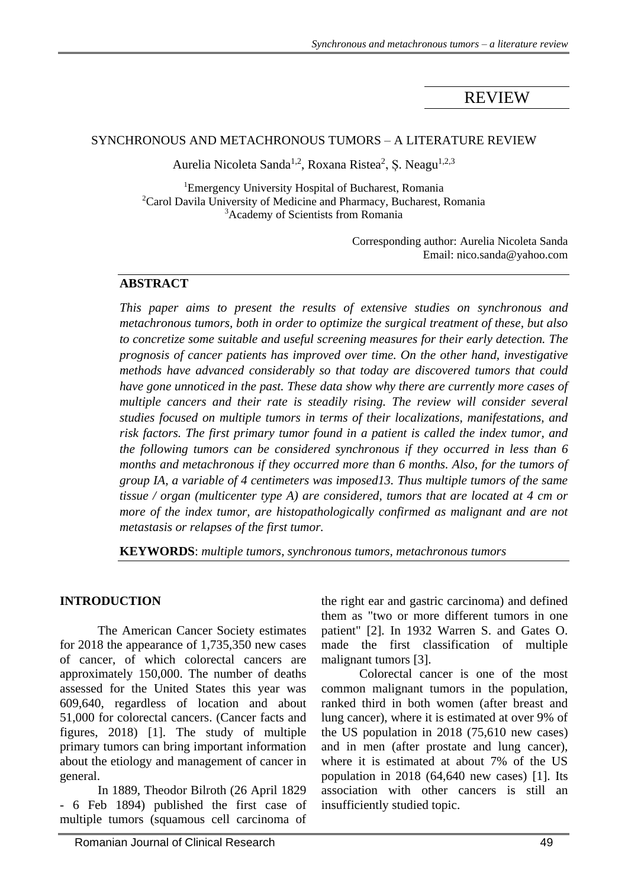# REVIEW

#### SYNCHRONOUS AND METACHRONOUS TUMORS – A LITERATURE REVIEW

Aurelia Nicoleta Sanda<sup>1,2</sup>, Roxana Ristea<sup>2</sup>, Ș. Neagu<sup>1,2,3</sup>

<sup>1</sup>Emergency University Hospital of Bucharest, Romania  $2C$ arol Davila University of Medicine and Pharmacy, Bucharest, Romania <sup>3</sup>Academy of Scientists from Romania

> Corresponding author: Aurelia Nicoleta Sanda Email: nico.sanda@yahoo.com

## **ABSTRACT**

*This paper aims to present the results of extensive studies on synchronous and metachronous tumors, both in order to optimize the surgical treatment of these, but also to concretize some suitable and useful screening measures for their early detection. The prognosis of cancer patients has improved over time. On the other hand, investigative methods have advanced considerably so that today are discovered tumors that could have gone unnoticed in the past. These data show why there are currently more cases of multiple cancers and their rate is steadily rising. The review will consider several studies focused on multiple tumors in terms of their localizations, manifestations, and risk factors. The first primary tumor found in a patient is called the index tumor, and the following tumors can be considered synchronous if they occurred in less than 6 months and metachronous if they occurred more than 6 months. Also, for the tumors of group IA, a variable of 4 centimeters was imposed13. Thus multiple tumors of the same tissue / organ (multicenter type A) are considered, tumors that are located at 4 cm or more of the index tumor, are histopathologically confirmed as malignant and are not metastasis or relapses of the first tumor.*

**KEYWORDS**: *multiple tumors, synchronous tumors, metachronous tumors*

#### **INTRODUCTION**

The American Cancer Society estimates for 2018 the appearance of 1,735,350 new cases of cancer, of which colorectal cancers are approximately 150,000. The number of deaths assessed for the United States this year was 609,640, regardless of location and about 51,000 for colorectal cancers. (Cancer facts and figures, 2018) [1]. The study of multiple primary tumors can bring important information about the etiology and management of cancer in general.

In 1889, Theodor Bilroth (26 April 1829 - 6 Feb 1894) published the first case of multiple tumors (squamous cell carcinoma of

the right ear and gastric carcinoma) and defined them as "two or more different tumors in one patient" [2]. In 1932 Warren S. and Gates O. made the first classification of multiple malignant tumors [3].

Colorectal cancer is one of the most common malignant tumors in the population, ranked third in both women (after breast and lung cancer), where it is estimated at over 9% of the US population in 2018 (75,610 new cases) and in men (after prostate and lung cancer), where it is estimated at about 7% of the US population in 2018 (64,640 new cases) [1]. Its association with other cancers is still an insufficiently studied topic.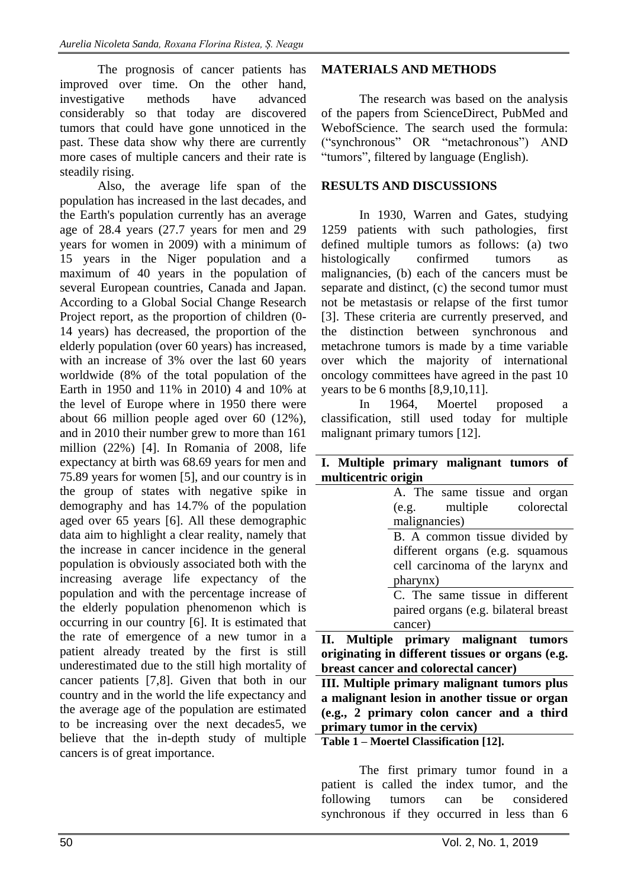The prognosis of cancer patients has improved over time. On the other hand, investigative methods have advanced considerably so that today are discovered tumors that could have gone unnoticed in the past. These data show why there are currently more cases of multiple cancers and their rate is steadily rising.

Also, the average life span of the population has increased in the last decades, and the Earth's population currently has an average age of 28.4 years (27.7 years for men and 29 years for women in 2009) with a minimum of 15 years in the Niger population and a maximum of 40 years in the population of several European countries, Canada and Japan. According to a Global Social Change Research Project report, as the proportion of children (0- 14 years) has decreased, the proportion of the elderly population (over 60 years) has increased, with an increase of 3% over the last 60 years worldwide (8% of the total population of the Earth in 1950 and 11% in 2010) 4 and 10% at the level of Europe where in 1950 there were about 66 million people aged over 60 (12%), and in 2010 their number grew to more than 161 million (22%) [4]. In Romania of 2008, life expectancy at birth was 68.69 years for men and 75.89 years for women [5], and our country is in the group of states with negative spike in demography and has 14.7% of the population aged over 65 years [6]. All these demographic data aim to highlight a clear reality, namely that the increase in cancer incidence in the general population is obviously associated both with the increasing average life expectancy of the population and with the percentage increase of the elderly population phenomenon which is occurring in our country [6]. It is estimated that the rate of emergence of a new tumor in a patient already treated by the first is still underestimated due to the still high mortality of cancer patients [7,8]. Given that both in our country and in the world the life expectancy and the average age of the population are estimated to be increasing over the next decades5, we believe that the in-depth study of multiple cancers is of great importance.

#### **MATERIALS AND METHODS**

The research was based on the analysis of the papers from ScienceDirect, PubMed and WebofScience. The search used the formula: ("synchronous" OR "metachronous") AND "tumors", filtered by language (English).

## **RESULTS AND DISCUSSIONS**

In 1930, Warren and Gates, studying 1259 patients with such pathologies, first defined multiple tumors as follows: (a) two histologically confirmed tumors as malignancies, (b) each of the cancers must be separate and distinct, (c) the second tumor must not be metastasis or relapse of the first tumor [3]. These criteria are currently preserved, and the distinction between synchronous and metachrone tumors is made by a time variable over which the majority of international oncology committees have agreed in the past 10 years to be 6 months [8,9,10,11].

In 1964, Moertel proposed a classification, still used today for multiple malignant primary tumors [12].

| I. Multiple primary malignant tumors of          |  |  |  |
|--------------------------------------------------|--|--|--|
| multicentric origin                              |  |  |  |
| A. The same tissue and organ                     |  |  |  |
| (e.g. multiple colorectal                        |  |  |  |
| malignancies)                                    |  |  |  |
| B. A common tissue divided by                    |  |  |  |
| different organs (e.g. squamous                  |  |  |  |
| cell carcinoma of the larynx and                 |  |  |  |
| pharynx)                                         |  |  |  |
| C. The same tissue in different                  |  |  |  |
| paired organs (e.g. bilateral breast             |  |  |  |
| cancer)                                          |  |  |  |
| II. Multiple primary malignant tumors            |  |  |  |
| originating in different tissues or organs (e.g. |  |  |  |

**originating in different tissues or organs (e.g. breast cancer and colorectal cancer)**

**III. Multiple primary malignant tumors plus a malignant lesion in another tissue or organ (e.g., 2 primary colon cancer and a third primary tumor in the cervix)**

**Table 1 – Moertel Classification [12].**

The first primary tumor found in a patient is called the index tumor, and the following tumors can be considered synchronous if they occurred in less than 6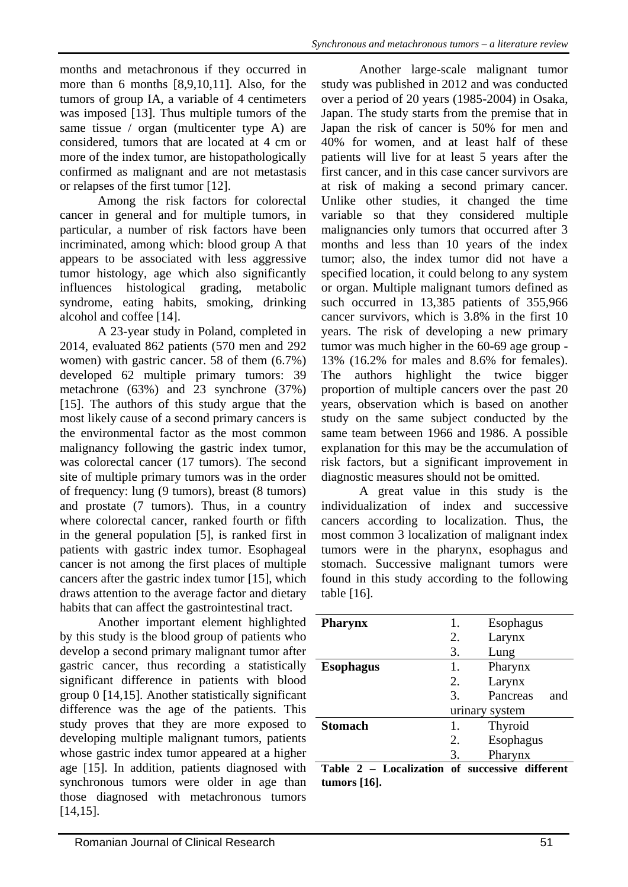months and metachronous if they occurred in more than 6 months [8,9,10,11]. Also, for the tumors of group IA, a variable of 4 centimeters was imposed [13]. Thus multiple tumors of the same tissue / organ (multicenter type A) are considered, tumors that are located at 4 cm or more of the index tumor, are histopathologically confirmed as malignant and are not metastasis or relapses of the first tumor [12].

Among the risk factors for colorectal cancer in general and for multiple tumors, in particular, a number of risk factors have been incriminated, among which: blood group A that appears to be associated with less aggressive tumor histology, age which also significantly influences histological grading, metabolic syndrome, eating habits, smoking, drinking alcohol and coffee [14].

A 23-year study in Poland, completed in 2014, evaluated 862 patients (570 men and 292 women) with gastric cancer. 58 of them (6.7%) developed 62 multiple primary tumors: 39 metachrone (63%) and 23 synchrone (37%) [15]. The authors of this study argue that the most likely cause of a second primary cancers is the environmental factor as the most common malignancy following the gastric index tumor, was colorectal cancer (17 tumors). The second site of multiple primary tumors was in the order of frequency: lung (9 tumors), breast (8 tumors) and prostate (7 tumors). Thus, in a country where colorectal cancer, ranked fourth or fifth in the general population [5], is ranked first in patients with gastric index tumor. Esophageal cancer is not among the first places of multiple cancers after the gastric index tumor [15], which draws attention to the average factor and dietary habits that can affect the gastrointestinal tract.

Another important element highlighted by this study is the blood group of patients who develop a second primary malignant tumor after gastric cancer, thus recording a statistically significant difference in patients with blood group 0 [14,15]. Another statistically significant difference was the age of the patients. This study proves that they are more exposed to developing multiple malignant tumors, patients whose gastric index tumor appeared at a higher age [15]. In addition, patients diagnosed with synchronous tumors were older in age than those diagnosed with metachronous tumors [14,15].

Another large-scale malignant tumor study was published in 2012 and was conducted over a period of 20 years (1985-2004) in Osaka, Japan. The study starts from the premise that in Japan the risk of cancer is 50% for men and 40% for women, and at least half of these patients will live for at least 5 years after the first cancer, and in this case cancer survivors are at risk of making a second primary cancer. Unlike other studies, it changed the time variable so that they considered multiple malignancies only tumors that occurred after 3 months and less than 10 years of the index tumor; also, the index tumor did not have a specified location, it could belong to any system or organ. Multiple malignant tumors defined as such occurred in 13,385 patients of 355,966 cancer survivors, which is 3.8% in the first 10 years. The risk of developing a new primary tumor was much higher in the 60-69 age group - 13% (16.2% for males and 8.6% for females). The authors highlight the twice bigger proportion of multiple cancers over the past 20 years, observation which is based on another study on the same subject conducted by the same team between 1966 and 1986. A possible explanation for this may be the accumulation of risk factors, but a significant improvement in diagnostic measures should not be omitted.

A great value in this study is the individualization of index and successive cancers according to localization. Thus, the most common 3 localization of malignant index tumors were in the pharynx, esophagus and stomach. Successive malignant tumors were found in this study according to the following table [16].

| <b>Pharynx</b>   | 1.                     | Esophagus       |
|------------------|------------------------|-----------------|
|                  | 2.                     | Larynx          |
|                  | 3.                     | Lung            |
| <b>Esophagus</b> | 1.                     | Pharynx         |
|                  | 2.                     | Larynx          |
|                  | $\mathcal{R}_{\alpha}$ | Pancreas<br>and |
|                  |                        | urinary system  |
| <b>Stomach</b>   | 1.                     | Thyroid         |
|                  | 2.                     | Esophagus       |
|                  | 3.                     | Pharynx         |

**Table 2 – Localization of successive different tumors [16].**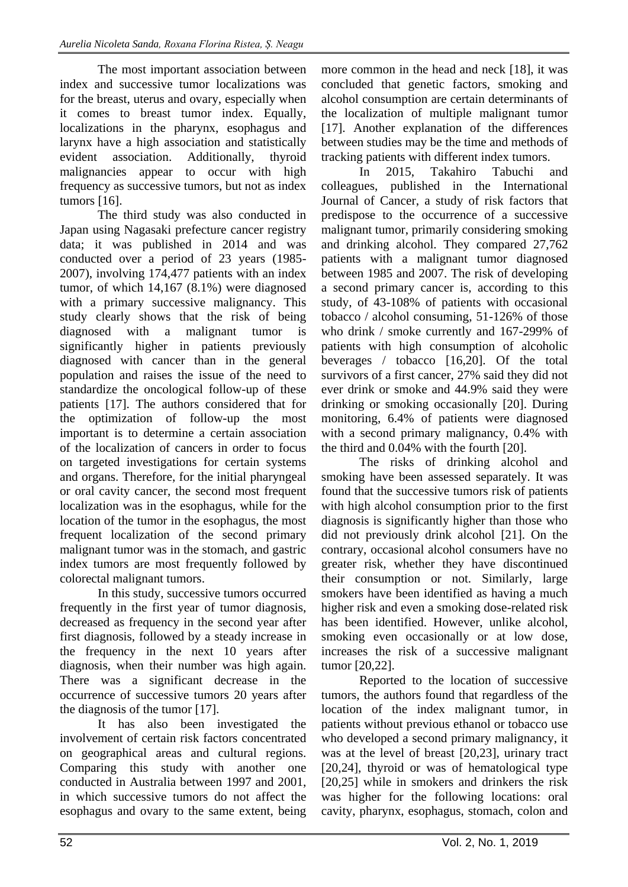The most important association between index and successive tumor localizations was for the breast, uterus and ovary, especially when it comes to breast tumor index. Equally, localizations in the pharynx, esophagus and larynx have a high association and statistically evident association. Additionally, thyroid malignancies appear to occur with high frequency as successive tumors, but not as index tumors [16].

The third study was also conducted in Japan using Nagasaki prefecture cancer registry data; it was published in 2014 and was conducted over a period of 23 years (1985- 2007), involving 174,477 patients with an index tumor, of which 14,167 (8.1%) were diagnosed with a primary successive malignancy. This study clearly shows that the risk of being diagnosed with a malignant tumor is significantly higher in patients previously diagnosed with cancer than in the general population and raises the issue of the need to standardize the oncological follow-up of these patients [17]. The authors considered that for the optimization of follow-up the most important is to determine a certain association of the localization of cancers in order to focus on targeted investigations for certain systems and organs. Therefore, for the initial pharyngeal or oral cavity cancer, the second most frequent localization was in the esophagus, while for the location of the tumor in the esophagus, the most frequent localization of the second primary malignant tumor was in the stomach, and gastric index tumors are most frequently followed by colorectal malignant tumors.

In this study, successive tumors occurred frequently in the first year of tumor diagnosis, decreased as frequency in the second year after first diagnosis, followed by a steady increase in the frequency in the next 10 years after diagnosis, when their number was high again. There was a significant decrease in the occurrence of successive tumors 20 years after the diagnosis of the tumor [17].

It has also been investigated the involvement of certain risk factors concentrated on geographical areas and cultural regions. Comparing this study with another one conducted in Australia between 1997 and 2001, in which successive tumors do not affect the esophagus and ovary to the same extent, being

more common in the head and neck [18], it was concluded that genetic factors, smoking and alcohol consumption are certain determinants of the localization of multiple malignant tumor [17]. Another explanation of the differences between studies may be the time and methods of tracking patients with different index tumors.

In 2015, Takahiro Tabuchi and colleagues, published in the International Journal of Cancer, a study of risk factors that predispose to the occurrence of a successive malignant tumor, primarily considering smoking and drinking alcohol. They compared 27,762 patients with a malignant tumor diagnosed between 1985 and 2007. The risk of developing a second primary cancer is, according to this study, of 43-108% of patients with occasional tobacco / alcohol consuming, 51-126% of those who drink / smoke currently and 167-299% of patients with high consumption of alcoholic beverages / tobacco [16,20]. Of the total survivors of a first cancer, 27% said they did not ever drink or smoke and 44.9% said they were drinking or smoking occasionally [20]. During monitoring, 6.4% of patients were diagnosed with a second primary malignancy, 0.4% with the third and 0.04% with the fourth [20].

The risks of drinking alcohol and smoking have been assessed separately. It was found that the successive tumors risk of patients with high alcohol consumption prior to the first diagnosis is significantly higher than those who did not previously drink alcohol [21]. On the contrary, occasional alcohol consumers have no greater risk, whether they have discontinued their consumption or not. Similarly, large smokers have been identified as having a much higher risk and even a smoking dose-related risk has been identified. However, unlike alcohol, smoking even occasionally or at low dose, increases the risk of a successive malignant tumor [20,22].

Reported to the location of successive tumors, the authors found that regardless of the location of the index malignant tumor, in patients without previous ethanol or tobacco use who developed a second primary malignancy, it was at the level of breast [20,23], urinary tract [20,24], thyroid or was of hematological type [20,25] while in smokers and drinkers the risk was higher for the following locations: oral cavity, pharynx, esophagus, stomach, colon and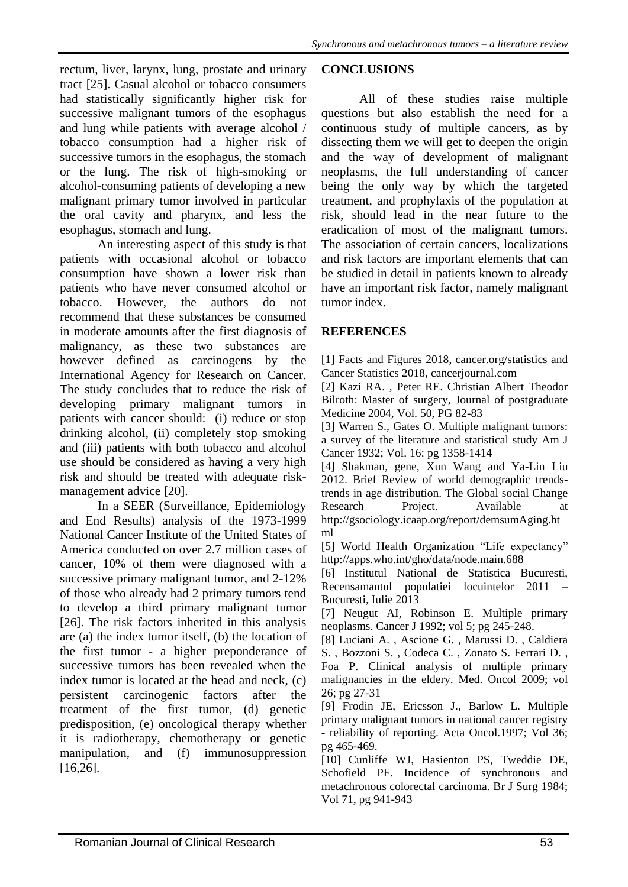rectum, liver, larynx, lung, prostate and urinary tract [25]. Casual alcohol or tobacco consumers had statistically significantly higher risk for successive malignant tumors of the esophagus and lung while patients with average alcohol / tobacco consumption had a higher risk of successive tumors in the esophagus, the stomach or the lung. The risk of high-smoking or alcohol-consuming patients of developing a new malignant primary tumor involved in particular the oral cavity and pharynx, and less the esophagus, stomach and lung.

An interesting aspect of this study is that patients with occasional alcohol or tobacco consumption have shown a lower risk than patients who have never consumed alcohol or tobacco. However, the authors do not recommend that these substances be consumed in moderate amounts after the first diagnosis of malignancy, as these two substances are however defined as carcinogens by the International Agency for Research on Cancer. The study concludes that to reduce the risk of developing primary malignant tumors in patients with cancer should: (i) reduce or stop drinking alcohol, (ii) completely stop smoking and (iii) patients with both tobacco and alcohol use should be considered as having a very high risk and should be treated with adequate riskmanagement advice [20].

In a SEER (Surveillance, Epidemiology and End Results) analysis of the 1973-1999 National Cancer Institute of the United States of America conducted on over 2.7 million cases of cancer, 10% of them were diagnosed with a successive primary malignant tumor, and 2-12% of those who already had 2 primary tumors tend to develop a third primary malignant tumor [26]. The risk factors inherited in this analysis are (a) the index tumor itself, (b) the location of the first tumor - a higher preponderance of successive tumors has been revealed when the index tumor is located at the head and neck, (c) persistent carcinogenic factors after the treatment of the first tumor, (d) genetic predisposition, (e) oncological therapy whether it is radiotherapy, chemotherapy or genetic manipulation, and (f) immunosuppression [16,26].

## **CONCLUSIONS**

All of these studies raise multiple questions but also establish the need for a continuous study of multiple cancers, as by dissecting them we will get to deepen the origin and the way of development of malignant neoplasms, the full understanding of cancer being the only way by which the targeted treatment, and prophylaxis of the population at risk, should lead in the near future to the eradication of most of the malignant tumors. The association of certain cancers, localizations and risk factors are important elements that can be studied in detail in patients known to already have an important risk factor, namely malignant tumor index.

# **REFERENCES**

[1] Facts and Figures 2018, cancer.org/statistics and Cancer Statistics 2018, cancerjournal.com

[2] Kazi RA. , Peter RE. Christian Albert Theodor Bilroth: Master of surgery, Journal of postgraduate Medicine 2004, Vol. 50, PG 82-83

[3] Warren S., Gates O. Multiple malignant tumors: a survey of the literature and statistical study Am J Cancer 1932; Vol. 16: pg 1358-1414

[4] Shakman, gene, Xun Wang and Ya-Lin Liu 2012. Brief Review of world demographic trendstrends in age distribution. The Global social Change Research Project. Available at http://gsociology.icaap.org/report/demsumAging.ht ml

[5] World Health Organization "Life expectancy" http://apps.who.int/gho/data/node.main.688

[6] Institutul National de Statistica Bucuresti, Recensamantul populatiei locuintelor 2011 – Bucuresti, Iulie 2013

[7] Neugut AI, Robinson E. Multiple primary neoplasms. Cancer J 1992; vol 5; pg 245-248.

[8] Luciani A. , Ascione G. , Marussi D. , Caldiera S. , Bozzoni S. , Codeca C. , Zonato S. Ferrari D. , Foa P. Clinical analysis of multiple primary malignancies in the eldery. Med. Oncol 2009; vol 26; pg 27-31

[9] Frodin JE, Ericsson J., Barlow L. Multiple primary malignant tumors in national cancer registry - reliability of reporting. Acta Oncol.1997; Vol 36; pg 465-469.

[10] Cunliffe WJ, Hasienton PS, Tweddie DE, Schofield PF. Incidence of synchronous and metachronous colorectal carcinoma. Br J Surg 1984; Vol 71, pg 941-943